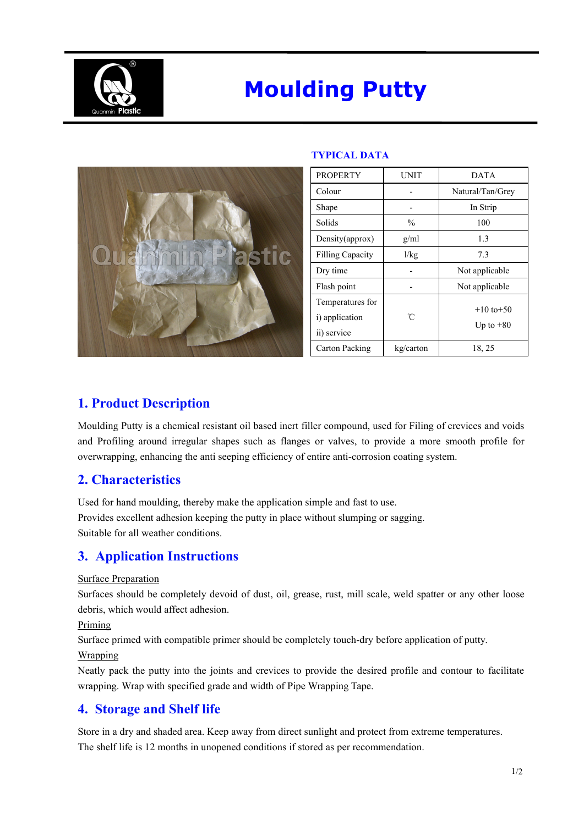

# **Moulding Putty**



### **TYPICAL DATA**

| <b>PROPERTY</b>         | <b>UNIT</b>   | <b>DATA</b>      |
|-------------------------|---------------|------------------|
| Colour                  |               | Natural/Tan/Grey |
| Shape                   |               | In Strip         |
| Solids                  | $\frac{0}{0}$ | 100              |
| Density(approx)         | g/ml          | 1.3              |
| <b>Filling Capacity</b> | 1/kg          | 7.3              |
| Dry time                |               | Not applicable   |
| Flash point             |               | Not applicable   |
| Temperatures for        |               | $+10$ to $+50$   |
| i) application          | °C            | Up to $+80$      |
| ii) service             |               |                  |
| Carton Packing          | kg/carton     | 18, 25           |

## **1. Product Description**

Moulding Putty is a chemical resistant oil based inert filler compound, used for Filing of crevices and voids and Profiling around irregular shapes such as flanges or valves, to provide a more smooth profile for overwrapping, enhancing the anti seeping efficiency of entire anti-corrosion coating system.

## **2. Characteristics**

Used for hand moulding, thereby make the application simple and fast to use. Provides excellent adhesion keeping the putty in place without slumping or sagging. Suitable for all weather conditions.

## **3. Application Instructions**

#### Surface Preparation

Surfaces should be completely devoid of dust, oil, grease, rust, mill scale, weld spatter or any other loose debris, which would affect adhesion.

Priming

Surface primed with compatible primer should be completely touch-dry before application of putty.

#### Wrapping

Neatly pack the putty into the joints and crevices to provide the desired profile and contour to facilitate wrapping. Wrap with specified grade and width of Pipe Wrapping Tape.

## **4. Storage and Shelf life**

Store in a dry and shaded area. Keep away from direct sunlight and protect from extreme temperatures. The shelf life is 12 months in unopened conditions if stored as per recommendation.